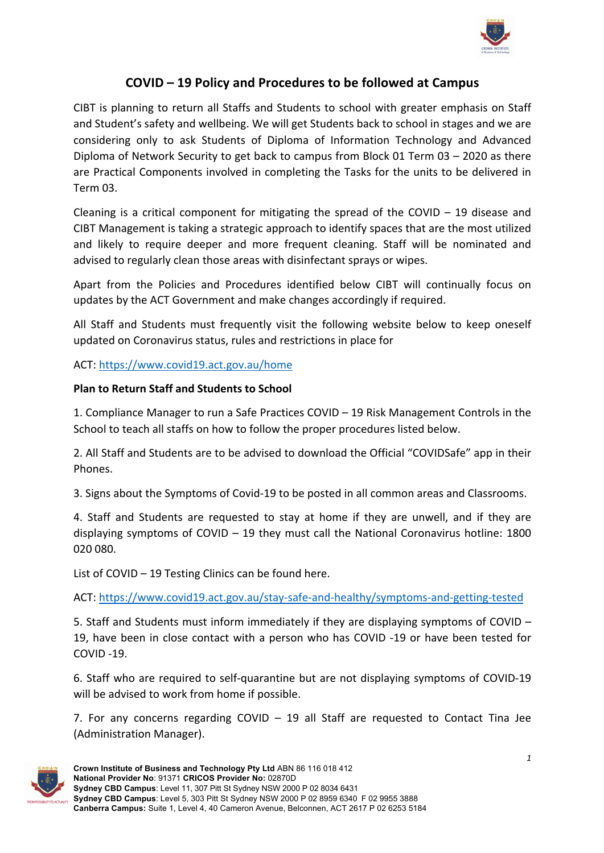

# **COVID – 19 Policy and Procedures to be followed at Campus**

CIBT is planning to return all Staffs and Students to school with greater emphasis on Staff and Student's safety and wellbeing. We will get Students back to school in stages and we are considering only to ask Students of Diploma of Information Technology and Advanced Diploma of Network Security to get back to campus from Block 01 Term 03 – 2020 as there are Practical Components involved in completing the Tasks for the units to be delivered in Term 03.

Cleaning is a critical component for mitigating the spread of the COVID  $-$  19 disease and CIBT Management is taking a strategic approach to identify spaces that are the most utilized and likely to require deeper and more frequent cleaning. Staff will be nominated and advised to regularly clean those areas with disinfectant sprays or wipes.

Apart from the Policies and Procedures identified below CIBT will continually focus on updates by the ACT Government and make changes accordingly if required.

All Staff and Students must frequently visit the following website below to keep oneself updated on Coronavirus status, rules and restrictions in place for

### ACT: https://www.covid19.act.gov.au/home

### **Plan to Return Staff and Students to School**

1. Compliance Manager to run a Safe Practices COVID – 19 Risk Management Controls in the School to teach all staffs on how to follow the proper procedures listed below.

2. All Staff and Students are to be advised to download the Official "COVIDSafe" app in their Phones.

3. Signs about the Symptoms of Covid-19 to be posted in all common areas and Classrooms.

4. Staff and Students are requested to stay at home if they are unwell, and if they are displaying symptoms of COVID – 19 they must call the National Coronavirus hotline: 1800 020 080.

List of COVID – 19 Testing Clinics can be found here.

ACT: https://www.covid19.act.gov.au/stay-safe-and-healthy/symptoms-and-getting-tested

5. Staff and Students must inform immediately if they are displaying symptoms of COVID – 19, have been in close contact with a person who has COVID -19 or have been tested for COVID -19.

6. Staff who are required to self-quarantine but are not displaying symptoms of COVID-19 will be advised to work from home if possible.

7. For any concerns regarding COVID – 19 all Staff are requested to Contact Tina Jee (Administration Manager).

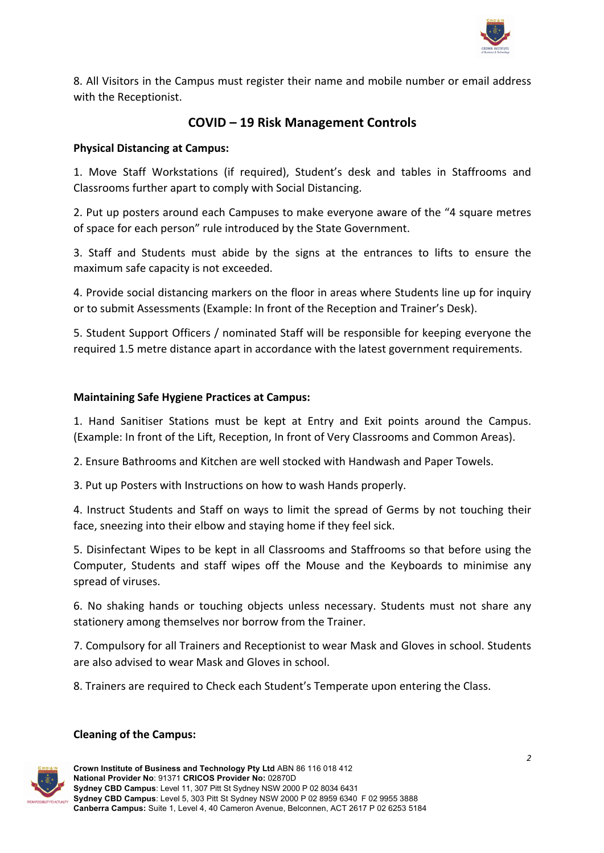

8. All Visitors in the Campus must register their name and mobile number or email address with the Receptionist.

# **COVID – 19 Risk Management Controls**

#### **Physical Distancing at Campus:**

1. Move Staff Workstations (if required), Student's desk and tables in Staffrooms and Classrooms further apart to comply with Social Distancing.

2. Put up posters around each Campuses to make everyone aware of the "4 square metres of space for each person" rule introduced by the State Government.

3. Staff and Students must abide by the signs at the entrances to lifts to ensure the maximum safe capacity is not exceeded.

4. Provide social distancing markers on the floor in areas where Students line up for inquiry or to submit Assessments (Example: In front of the Reception and Trainer's Desk).

5. Student Support Officers / nominated Staff will be responsible for keeping everyone the required 1.5 metre distance apart in accordance with the latest government requirements.

#### **Maintaining Safe Hygiene Practices at Campus:**

1. Hand Sanitiser Stations must be kept at Entry and Exit points around the Campus. (Example: In front of the Lift, Reception, In front of Very Classrooms and Common Areas).

2. Ensure Bathrooms and Kitchen are well stocked with Handwash and Paper Towels.

3. Put up Posters with Instructions on how to wash Hands properly.

4. Instruct Students and Staff on ways to limit the spread of Germs by not touching their face, sneezing into their elbow and staying home if they feel sick.

5. Disinfectant Wipes to be kept in all Classrooms and Staffrooms so that before using the Computer, Students and staff wipes off the Mouse and the Keyboards to minimise any spread of viruses.

6. No shaking hands or touching objects unless necessary. Students must not share any stationery among themselves nor borrow from the Trainer.

7. Compulsory for all Trainers and Receptionist to wear Mask and Gloves in school. Students are also advised to wear Mask and Gloves in school.

8. Trainers are required to Check each Student's Temperate upon entering the Class.

## **Cleaning of the Campus:**